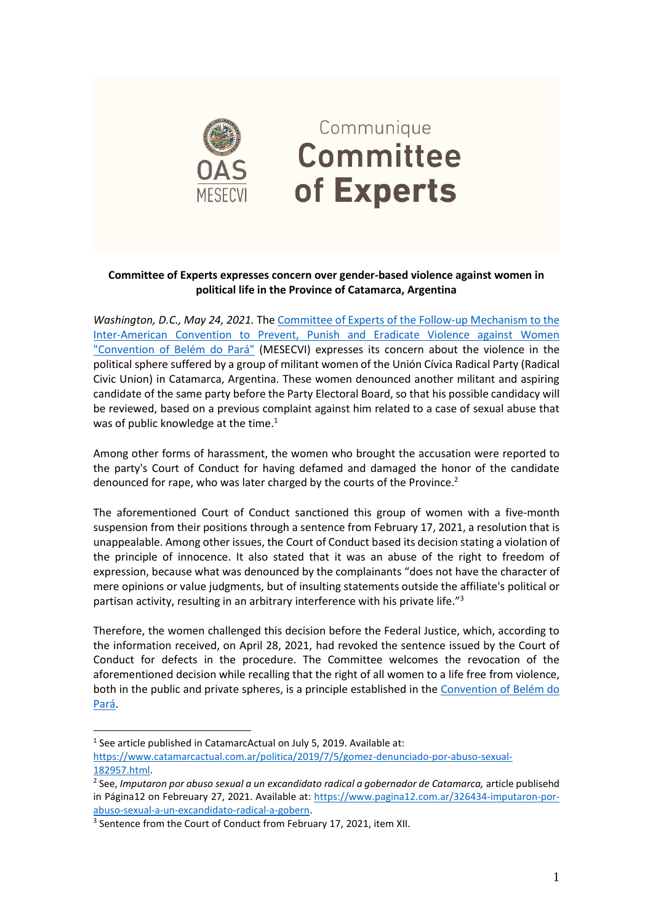

## Communique **Committee** of Experts

## **Committee of Experts expresses concern over gender-based violence against women in political life in the Province of Catamarca, Argentina**

*Washington, D.C., May 24, 2021.* The [Committee of Experts of the Follow-up Mechanism to the](https://www.oas.org/en/mesecvi/Experts.asp)  [Inter-American Convention to Prevent, Punish and Eradicate Violence against Women](https://www.oas.org/en/mesecvi/Experts.asp)  ["Convention of Belém do Pará"](https://www.oas.org/en/mesecvi/Experts.asp) (MESECVI) expresses its concern about the violence in the political sphere suffered by a group of militant women of the Unión Cívica Radical Party (Radical Civic Union) in Catamarca, Argentina. These women denounced another militant and aspiring candidate of the same party before the Party Electoral Board, so that his possible candidacy will be reviewed, based on a previous complaint against him related to a case of sexual abuse that was of public knowledge at the time.<sup>1</sup>

Among other forms of harassment, the women who brought the accusation were reported to the party's Court of Conduct for having defamed and damaged the honor of the candidate denounced for rape, who was later charged by the courts of the Province. 2

The aforementioned Court of Conduct sanctioned this group of women with a five-month suspension from their positions through a sentence from February 17, 2021, a resolution that is unappealable. Among other issues, the Court of Conduct based its decision stating a violation of the principle of innocence. It also stated that it was an abuse of the right to freedom of expression, because what was denounced by the complainants "does not have the character of mere opinions or value judgments, but of insulting statements outside the affiliate's political or partisan activity, resulting in an arbitrary interference with his private life."<sup>3</sup>

Therefore, the women challenged this decision before the Federal Justice, which, according to the information received, on April 28, 2021, had revoked the sentence issued by the Court of Conduct for defects in the procedure. The Committee welcomes the revocation of the aforementioned decision while recalling that the right of all women to a life free from violence, both in the public and private spheres, is a principle established in the [Convention of Belém do](http://www.oas.org/en/mesecvi/convention.asp)  [Pará.](http://www.oas.org/en/mesecvi/convention.asp)

<sup>&</sup>lt;sup>1</sup> See article published in CatamarcActual on July 5, 2019. Available at:

[https://www.catamarcactual.com.ar/politica/2019/7/5/gomez-denunciado-por-abuso-sexual-](https://www.catamarcactual.com.ar/politica/2019/7/5/gomez-denunciado-por-abuso-sexual-182957.html)[182957.html.](https://www.catamarcactual.com.ar/politica/2019/7/5/gomez-denunciado-por-abuso-sexual-182957.html)

<sup>2</sup> See, *Imputaron por abuso sexual a un excandidato radical a gobernador de Catamarca,* article publisehd in Página12 on Febreuary 27, 2021. Available at: [https://www.pagina12.com.ar/326434-imputaron-por](https://www.pagina12.com.ar/326434-imputaron-por-abuso-sexual-a-un-excandidato-radical-a-gobern)[abuso-sexual-a-un-excandidato-radical-a-gobern.](https://www.pagina12.com.ar/326434-imputaron-por-abuso-sexual-a-un-excandidato-radical-a-gobern)

<sup>&</sup>lt;sup>3</sup> Sentence from the Court of Conduct from February 17, 2021, item XII.